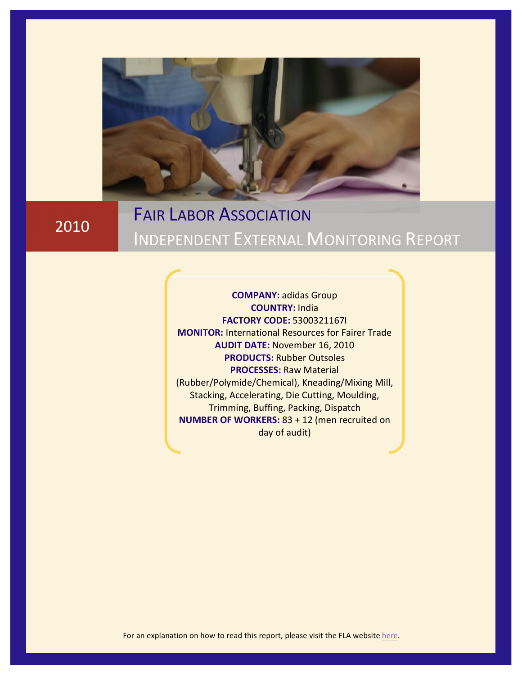

2010

# **FAIR LABOR ASSOCIATION INDEPENDENT EXTERNAL MONITORING REPORT**

**COMPANY: adidas Group COUNTRY:** India& **FACTORY!CODE:** 5300321167I **MONITOR: International Resources for Fairer Trade AUDIT DATE: November 16, 2010 PRODUCTS: Rubber Outsoles PROCESSES: Raw Material** (Rubber/Polymide/Chemical), Kneading/Mixing Mill, Stacking, Accelerating, Die Cutting, Moulding, Trimming, Buffing, Packing, Dispatch **NUMBER OF WORKERS: 83 + 12 (men recruited on** day of audit)

For an explanation on how to read this report, please visit the FLA website [here.](http://www.fairlabor.org/blog/entry/independent-external-monitoring-reports)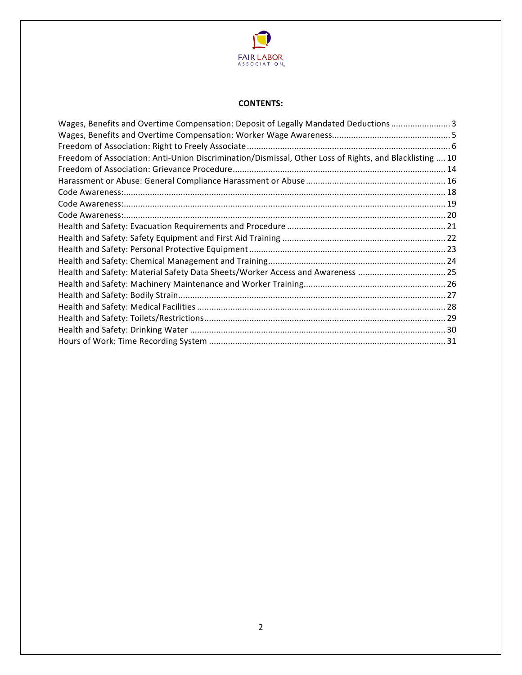

#### **CONTENTS:**

| Wages, Benefits and Overtime Compensation: Deposit of Legally Mandated Deductions  3                    |  |
|---------------------------------------------------------------------------------------------------------|--|
|                                                                                                         |  |
|                                                                                                         |  |
| Freedom of Association: Anti-Union Discrimination/Dismissal, Other Loss of Rights, and Blacklisting  10 |  |
|                                                                                                         |  |
|                                                                                                         |  |
|                                                                                                         |  |
|                                                                                                         |  |
|                                                                                                         |  |
|                                                                                                         |  |
|                                                                                                         |  |
|                                                                                                         |  |
|                                                                                                         |  |
|                                                                                                         |  |
|                                                                                                         |  |
|                                                                                                         |  |
|                                                                                                         |  |
|                                                                                                         |  |
|                                                                                                         |  |
|                                                                                                         |  |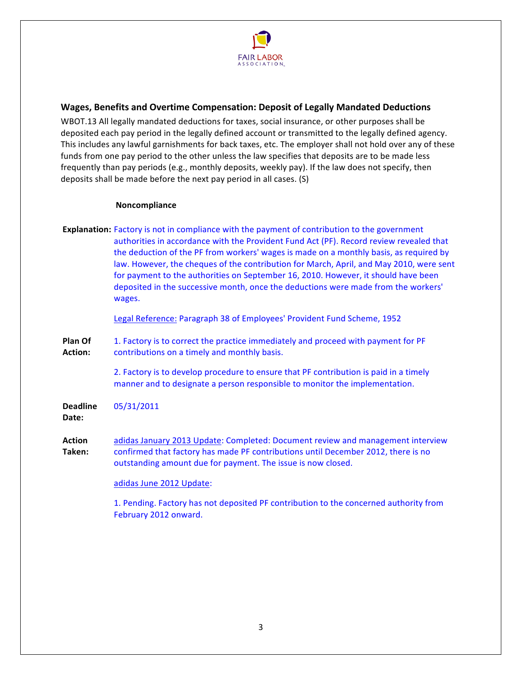

# <span id="page-2-0"></span>**Wages, Benefits and Overtime Compensation: Deposit of Legally Mandated Deductions**

WBOT.13 All legally mandated deductions for taxes, social insurance, or other purposes shall be deposited each pay period in the legally defined account or transmitted to the legally defined agency. This includes any lawful garnishments for back taxes, etc. The employer shall not hold over any of these funds from one pay period to the other unless the law specifies that deposits are to be made less frequently than pay periods (e.g., monthly deposits, weekly pay). If the law does not specify, then deposits shall be made before the next pay period in all cases. (S)

#### **Noncompliance**

**Explanation:** Factory is not in compliance with the payment of contribution to the government authorities in accordance with the Provident Fund Act (PF). Record review revealed that the deduction of the PF from workers' wages is made on a monthly basis, as required by law. However, the cheques of the contribution for March, April, and May 2010, were sent for payment to the authorities on September 16, 2010. However, it should have been deposited in the successive month, once the deductions were made from the workers' wages.

Legal Reference: Paragraph 38 of Employees' Provident Fund Scheme, 1952

**Plan!Of!** Action: 1. Factory is to correct the practice immediately and proceed with payment for PF contributions on a timely and monthly basis.

> 2. Factory is to develop procedure to ensure that PF contribution is paid in a timely manner and to designate a person responsible to monitor the implementation.

**Deadline!** 05/31/2011

Date:

**Action! Taken:!** adidas January 2013 Update: Completed: Document review and management interview confirmed that factory has made PF contributions until December 2012, there is no outstanding amount due for payment. The issue is now closed.

#### adidas June 2012 Update:

1. Pending. Factory has not deposited PF contribution to the concerned authority from February 2012 onward.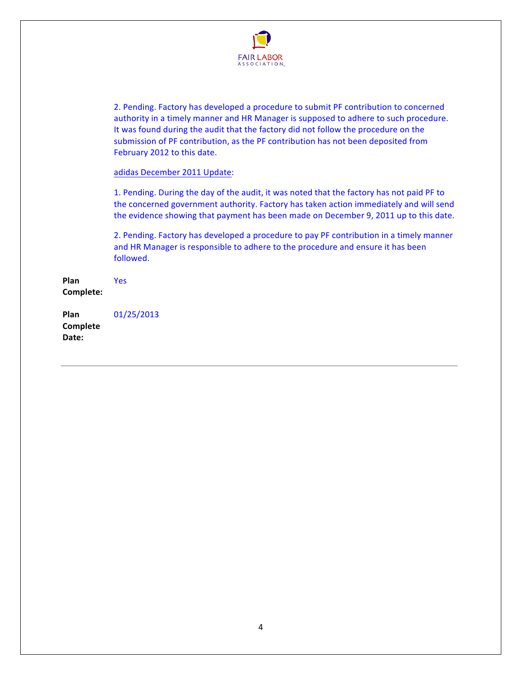

2. Pending. Factory has developed a procedure to submit PF contribution to concerned authority in a timely manner and HR Manager is supposed to adhere to such procedure. It was found during the audit that the factory did not follow the procedure on the submission of PF contribution, as the PF contribution has not been deposited from February 2012 to this date.

#### adidas December 2011 Update:

1. Pending. During the day of the audit, it was noted that the factory has not paid PF to the concerned government authority. Factory has taken action immediately and will send the evidence showing that payment has been made on December 9, 2011 up to this date.

2. Pending. Factory has developed a procedure to pay PF contribution in a timely manner and HR Manager is responsible to adhere to the procedure and ensure it has been followed.

**Plan! Complete:!** Yes

**Plan! Complete!** Date: 01/25/2013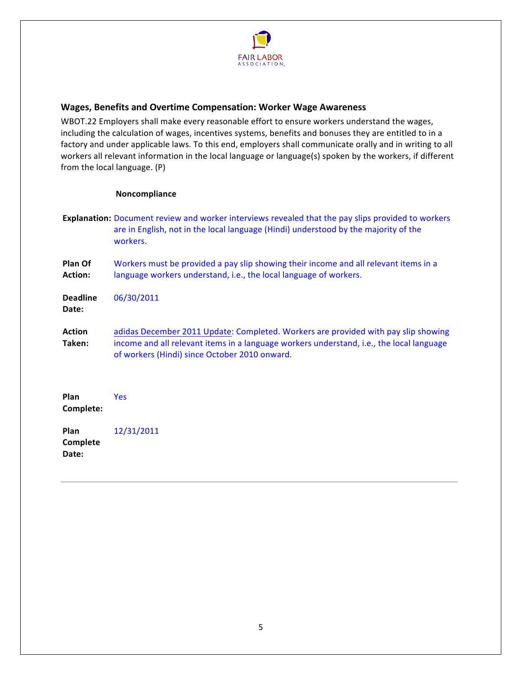

# <span id="page-4-0"></span>**Wages, Benefits and Overtime Compensation: Worker Wage Awareness**

WBOT.22 Employers shall make every reasonable effort to ensure workers understand the wages, including the calculation of wages, incentives systems, benefits and bonuses they are entitled to in a factory and under applicable laws. To this end, employers shall communicate orally and in writing to all workers all relevant information in the local language or language(s) spoken by the workers, if different from the local language.  $(P)$ 

|                           | <b>Explanation:</b> Document review and worker interviews revealed that the pay slips provided to workers<br>are in English, not in the local language (Hindi) understood by the majority of the<br>workers.                    |
|---------------------------|---------------------------------------------------------------------------------------------------------------------------------------------------------------------------------------------------------------------------------|
| Plan Of<br><b>Action:</b> | Workers must be provided a pay slip showing their income and all relevant items in a<br>language workers understand, i.e., the local language of workers.                                                                       |
| <b>Deadline</b><br>Date:  | 06/30/2011                                                                                                                                                                                                                      |
| <b>Action</b><br>Taken:   | adidas December 2011 Update: Completed. Workers are provided with pay slip showing<br>income and all relevant items in a language workers understand, i.e., the local language<br>of workers (Hindi) since October 2010 onward. |
| Plan<br>Complete:         | <b>Yes</b>                                                                                                                                                                                                                      |
| Plan<br>Complete<br>Date: | 12/31/2011                                                                                                                                                                                                                      |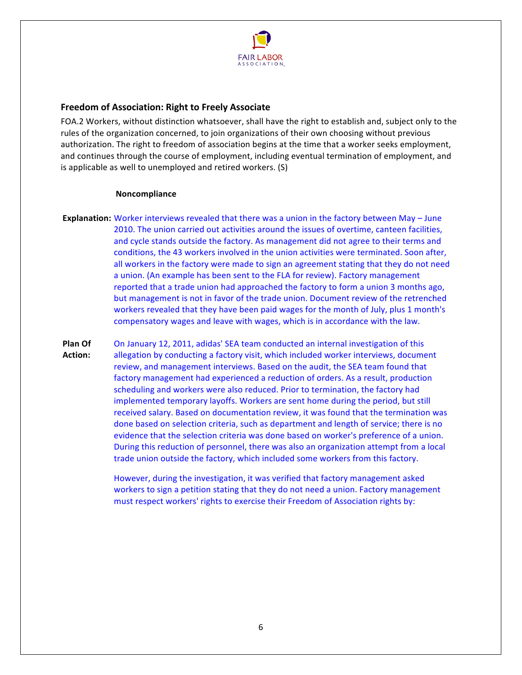

# <span id="page-5-0"></span>**Freedom of Association: Right to Freely Associate**

FOA.2 Workers, without distinction whatsoever, shall have the right to establish and, subject only to the rules of the organization concerned, to join organizations of their own choosing without previous authorization. The right to freedom of association begins at the time that a worker seeks employment, and continues through the course of employment, including eventual termination of employment, and is applicable as well to unemployed and retired workers. (S)

#### **Noncompliance**

**Explanation:** Worker interviews revealed that there was a union in the factory between May – June 2010. The union carried out activities around the issues of overtime, canteen facilities, and cycle stands outside the factory. As management did not agree to their terms and conditions, the 43 workers involved in the union activities were terminated. Soon after, all workers in the factory were made to sign an agreement stating that they do not need a union. (An example has been sent to the FLA for review). Factory management reported that a trade union had approached the factory to form a union 3 months ago, but management is not in favor of the trade union. Document review of the retrenched workers revealed that they have been paid wages for the month of July, plus 1 month's compensatory wages and leave with wages, which is in accordance with the law.

**Plan!Of!** Action: On January 12, 2011, adidas' SEA team conducted an internal investigation of this allegation by conducting a factory visit, which included worker interviews, document review, and management interviews. Based on the audit, the SEA team found that factory management had experienced a reduction of orders. As a result, production scheduling and workers were also reduced. Prior to termination, the factory had implemented temporary layoffs. Workers are sent home during the period, but still received salary. Based on documentation review, it was found that the termination was done based on selection criteria, such as department and length of service; there is no evidence that the selection criteria was done based on worker's preference of a union. During this reduction of personnel, there was also an organization attempt from a local trade union outside the factory, which included some workers from this factory.

> However, during the investigation, it was verified that factory management asked workers to sign a petition stating that they do not need a union. Factory management must respect workers' rights to exercise their Freedom of Association rights by: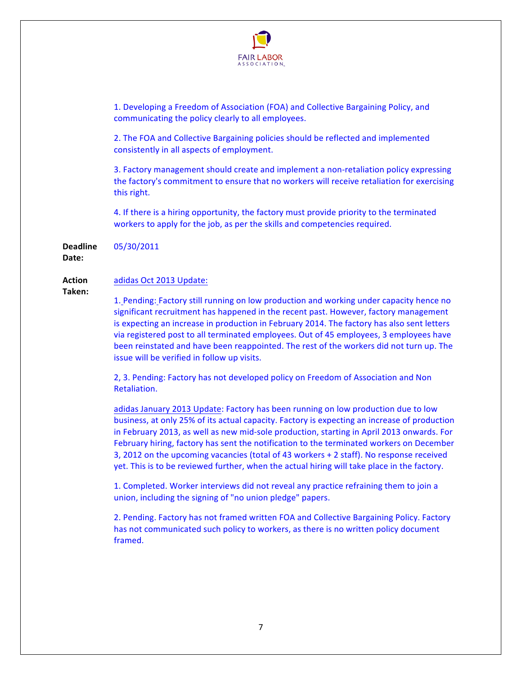

1. Developing a Freedom of Association (FOA) and Collective Bargaining Policy, and communicating the policy clearly to all employees.

2. The FOA and Collective Bargaining policies should be reflected and implemented consistently in all aspects of employment.

3. Factory management should create and implement a non-retaliation policy expressing the factory's commitment to ensure that no workers will receive retaliation for exercising this right.

4. If there is a hiring opportunity, the factory must provide priority to the terminated workers to apply for the job, as per the skills and competencies required.

**Deadline!** 05/30/2011

Date:

#### **Action!** adidas Oct 2013 Update:

**Taken:!**

1. Pending: Factory still running on low production and working under capacity hence no significant recruitment has happened in the recent past. However, factory management is expecting an increase in production in February 2014. The factory has also sent letters via registered post to all terminated employees. Out of 45 employees, 3 employees have been reinstated and have been reappointed. The rest of the workers did not turn up. The issue will be verified in follow up visits.

2, 3. Pending: Factory has not developed policy on Freedom of Association and Non Retaliation.

adidas January 2013 Update: Factory has been running on low production due to low business, at only 25% of its actual capacity. Factory is expecting an increase of production in February 2013, as well as new mid-sole production, starting in April 2013 onwards. For February hiring, factory has sent the notification to the terminated workers on December 3, 2012 on the upcoming vacancies (total of 43 workers + 2 staff). No response received yet. This is to be reviewed further, when the actual hiring will take place in the factory.

1. Completed. Worker interviews did not reveal any practice refraining them to join a union, including the signing of "no union pledge" papers.

2. Pending. Factory has not framed written FOA and Collective Bargaining Policy. Factory has not communicated such policy to workers, as there is no written policy document framed.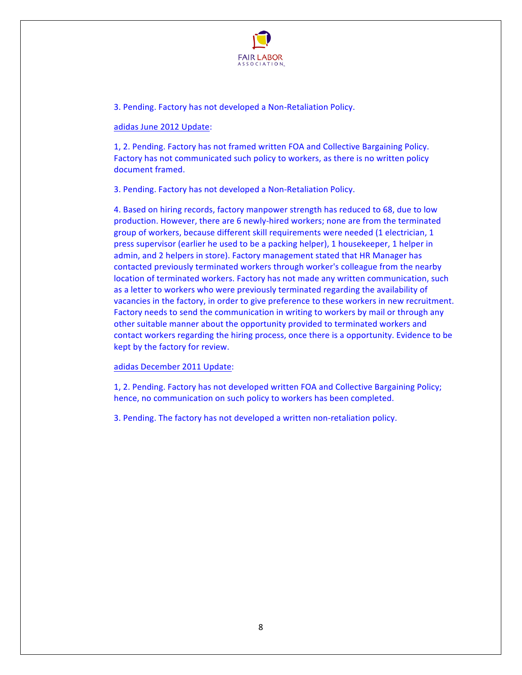

3. Pending. Factory has not developed a Non-Retaliation Policy.

#### adidas June 2012 Update:

1, 2. Pending. Factory has not framed written FOA and Collective Bargaining Policy. Factory has not communicated such policy to workers, as there is no written policy document framed.

3. Pending. Factory has not developed a Non-Retaliation Policy.

4. Based on hiring records, factory manpower strength has reduced to 68, due to low production. However, there are 6 newly-hired workers; none are from the terminated group of workers, because different skill requirements were needed (1 electrician, 1 press supervisor (earlier he used to be a packing helper), 1 housekeeper, 1 helper in admin, and 2 helpers in store). Factory management stated that HR Manager has contacted previously terminated workers through worker's colleague from the nearby location of terminated workers. Factory has not made any written communication, such as a letter to workers who were previously terminated regarding the availability of vacancies in the factory, in order to give preference to these workers in new recruitment. Factory needs to send the communication in writing to workers by mail or through any other suitable manner about the opportunity provided to terminated workers and contact workers regarding the hiring process, once there is a opportunity. Evidence to be kept by the factory for review.

#### adidas December 2011 Update:

1, 2. Pending. Factory has not developed written FOA and Collective Bargaining Policy; hence, no communication on such policy to workers has been completed.

3. Pending. The factory has not developed a written non-retaliation policy.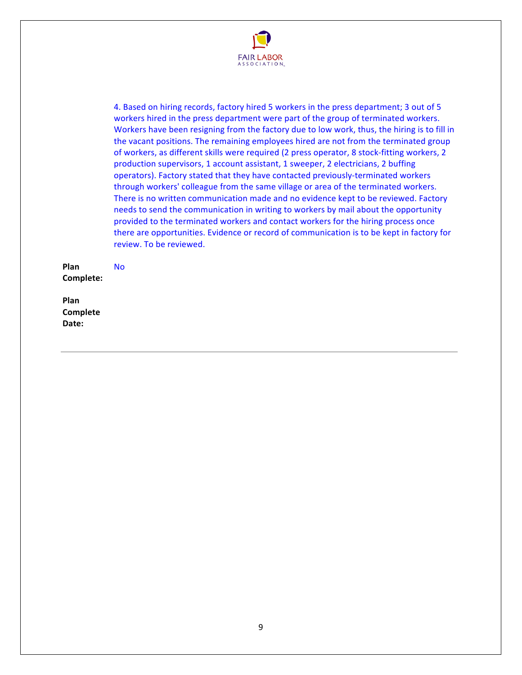

4. Based on hiring records, factory hired 5 workers in the press department; 3 out of 5 workers hired in the press department were part of the group of terminated workers. Workers have been resigning from the factory due to low work, thus, the hiring is to fill in the vacant positions. The remaining employees hired are not from the terminated group of workers, as different skills were required (2 press operator, 8 stock-fitting workers, 2 production supervisors, 1 account assistant, 1 sweeper, 2 electricians, 2 buffing operators). Factory stated that they have contacted previously-terminated workers through workers' colleague from the same village or area of the terminated workers. There is no written communication made and no evidence kept to be reviewed. Factory needs to send the communication in writing to workers by mail about the opportunity provided to the terminated workers and contact workers for the hiring process once there are opportunities. Evidence or record of communication is to be kept in factory for review. To be reviewed.

**Plan! Complete:!** No

**Plan! Complete!** Date: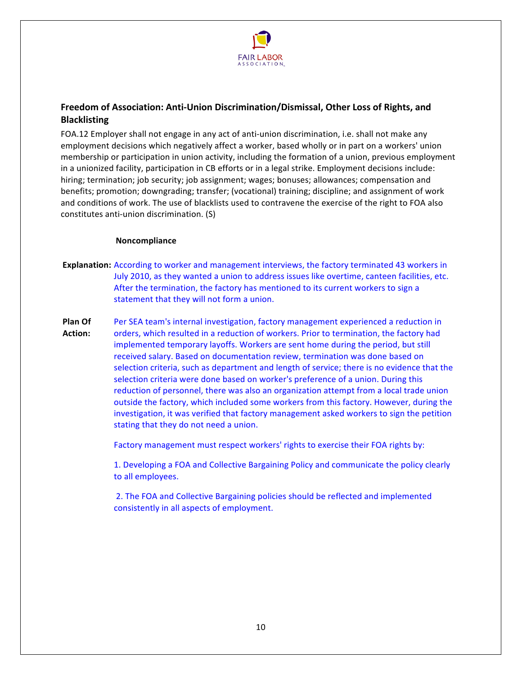

# <span id="page-9-0"></span>Freedom of Association: Anti-Union Discrimination/Dismissal, Other Loss of Rights, and **Blacklisting**

FOA.12 Employer shall not engage in any act of anti-union discrimination, i.e. shall not make any employment decisions which negatively affect a worker, based wholly or in part on a workers' union membership or participation in union activity, including the formation of a union, previous employment in a unionized facility, participation in CB efforts or in a legal strike. Employment decisions include: hiring; termination; job security; job assignment; wages; bonuses; allowances; compensation and benefits; promotion; downgrading; transfer; (vocational) training; discipline; and assignment of work and conditions of work. The use of blacklists used to contravene the exercise of the right to FOA also constitutes anti-union discrimination. (S)

#### **Noncompliance**

- **Explanation:** According to worker and management interviews, the factory terminated 43 workers in July 2010, as they wanted a union to address issues like overtime, canteen facilities, etc. After the termination, the factory has mentioned to its current workers to sign a statement that they will not form a union.
- **Plan!Of!** Action: Per SEA team's internal investigation, factory management experienced a reduction in orders, which resulted in a reduction of workers. Prior to termination, the factory had implemented temporary layoffs. Workers are sent home during the period, but still received salary. Based on documentation review, termination was done based on selection criteria, such as department and length of service; there is no evidence that the selection criteria were done based on worker's preference of a union. During this reduction of personnel, there was also an organization attempt from a local trade union outside the factory, which included some workers from this factory. However, during the investigation, it was verified that factory management asked workers to sign the petition stating that they do not need a union.

Factory management must respect workers' rights to exercise their FOA rights by:

1. Developing a FOA and Collective Bargaining Policy and communicate the policy clearly to all employees.

2. The FOA and Collective Bargaining policies should be reflected and implemented consistently in all aspects of employment.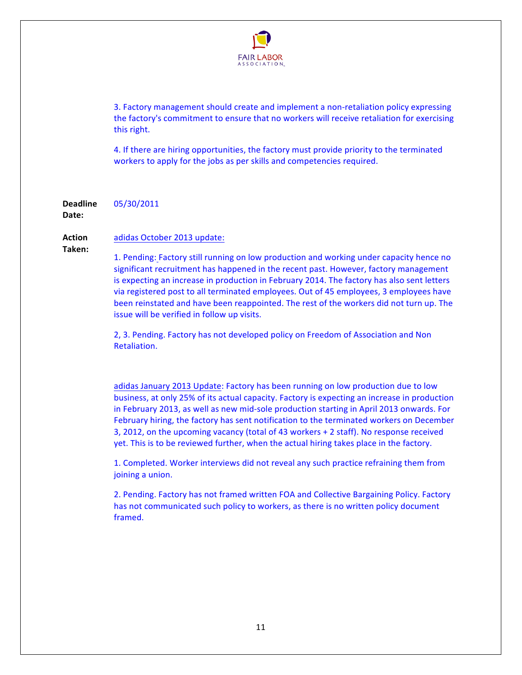

3. Factory management should create and implement a non-retaliation policy expressing the factory's commitment to ensure that no workers will receive retaliation for exercising this right.

4. If there are hiring opportunities, the factory must provide priority to the terminated workers to apply for the jobs as per skills and competencies required.

**Deadline!** 05/30/2011

Date:

#### **Action!** adidas October 2013 update:

**Taken:!**

1. Pending: Factory still running on low production and working under capacity hence no significant recruitment has happened in the recent past. However, factory management is expecting an increase in production in February 2014. The factory has also sent letters via registered post to all terminated employees. Out of 45 employees, 3 employees have been reinstated and have been reappointed. The rest of the workers did not turn up. The issue will be verified in follow up visits.

2, 3. Pending. Factory has not developed policy on Freedom of Association and Non Retaliation.

adidas January 2013 Update: Factory has been running on low production due to low business, at only 25% of its actual capacity. Factory is expecting an increase in production in February 2013, as well as new mid-sole production starting in April 2013 onwards. For February hiring, the factory has sent notification to the terminated workers on December 3, 2012, on the upcoming vacancy (total of 43 workers + 2 staff). No response received yet. This is to be reviewed further, when the actual hiring takes place in the factory.

1. Completed. Worker interviews did not reveal any such practice refraining them from joining a union.

2. Pending. Factory has not framed written FOA and Collective Bargaining Policy. Factory has not communicated such policy to workers, as there is no written policy document framed.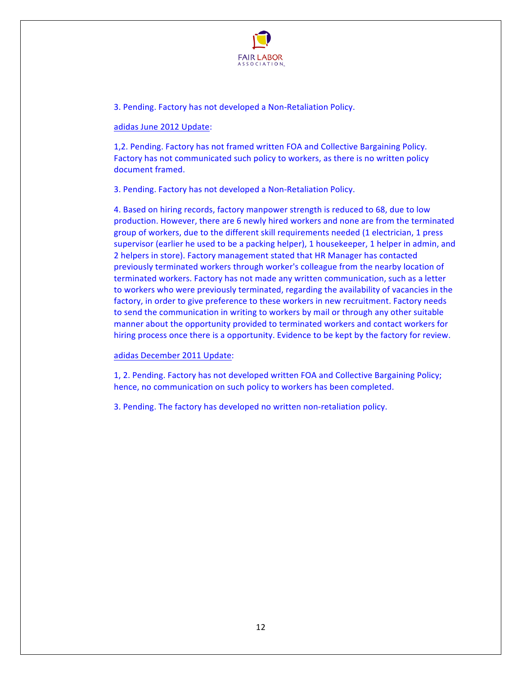

3. Pending. Factory has not developed a Non-Retaliation Policy.

#### adidas June 2012 Update:

1,2. Pending. Factory has not framed written FOA and Collective Bargaining Policy. Factory has not communicated such policy to workers, as there is no written policy document framed.

3. Pending. Factory has not developed a Non-Retaliation Policy.

4. Based on hiring records, factory manpower strength is reduced to 68, due to low production. However, there are 6 newly hired workers and none are from the terminated group of workers, due to the different skill requirements needed (1 electrician, 1 press supervisor (earlier he used to be a packing helper), 1 housekeeper, 1 helper in admin, and 2 helpers in store). Factory management stated that HR Manager has contacted previously terminated workers through worker's colleague from the nearby location of terminated workers. Factory has not made any written communication, such as a letter to workers who were previously terminated, regarding the availability of vacancies in the factory, in order to give preference to these workers in new recruitment. Factory needs to send the communication in writing to workers by mail or through any other suitable manner about the opportunity provided to terminated workers and contact workers for hiring process once there is a opportunity. Evidence to be kept by the factory for review.

#### adidas December 2011 Update:

1, 2. Pending. Factory has not developed written FOA and Collective Bargaining Policy; hence, no communication on such policy to workers has been completed.

3. Pending. The factory has developed no written non-retaliation policy.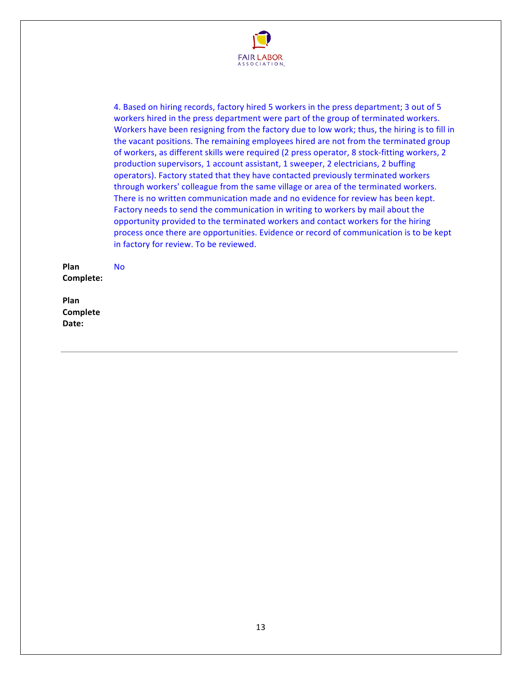

4. Based on hiring records, factory hired 5 workers in the press department; 3 out of 5 workers hired in the press department were part of the group of terminated workers. Workers have been resigning from the factory due to low work; thus, the hiring is to fill in the vacant positions. The remaining employees hired are not from the terminated group of workers, as different skills were required (2 press operator, 8 stock-fitting workers, 2 production supervisors, 1 account assistant, 1 sweeper, 2 electricians, 2 buffing operators). Factory stated that they have contacted previously terminated workers through workers' colleague from the same village or area of the terminated workers. There is no written communication made and no evidence for review has been kept. Factory needs to send the communication in writing to workers by mail about the opportunity provided to the terminated workers and contact workers for the hiring process once there are opportunities. Evidence or record of communication is to be kept in factory for review. To be reviewed.

**Plan! Complete:!** No

**Plan! Complete!** Date: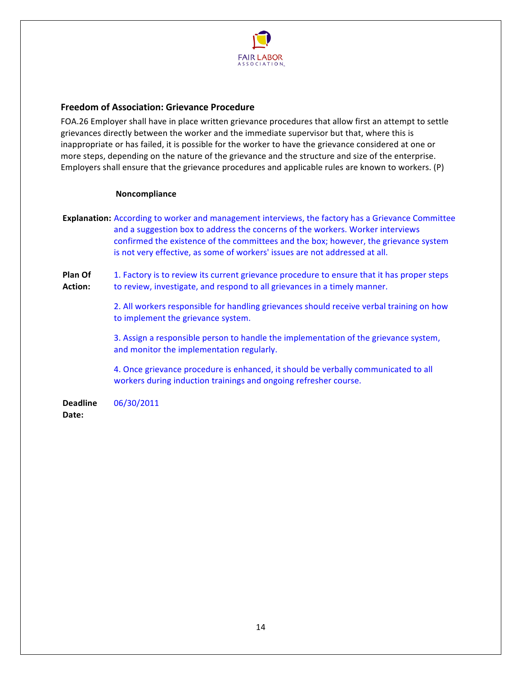

# <span id="page-13-0"></span>**Freedom of Association: Grievance Procedure**

FOA.26 Employer shall have in place written grievance procedures that allow first an attempt to settle grievances directly between the worker and the immediate supervisor but that, where this is inappropriate or has failed, it is possible for the worker to have the grievance considered at one or more steps, depending on the nature of the grievance and the structure and size of the enterprise. Employers shall ensure that the grievance procedures and applicable rules are known to workers. (P)

#### **Noncompliance**

**Explanation:** According to worker and management interviews, the factory has a Grievance Committee and a suggestion box to address the concerns of the workers. Worker interviews confirmed the existence of the committees and the box; however, the grievance system is not very effective, as some of workers' issues are not addressed at all.

**Plan!Of!** Action: 1. Factory is to review its current grievance procedure to ensure that it has proper steps to review, investigate, and respond to all grievances in a timely manner.

> 2. All workers responsible for handling grievances should receive verbal training on how to implement the grievance system.

3. Assign a responsible person to handle the implementation of the grievance system, and monitor the implementation regularly.

4. Once grievance procedure is enhanced, it should be verbally communicated to all workers during induction trainings and ongoing refresher course.

**Deadline!** Date: 06/30/2011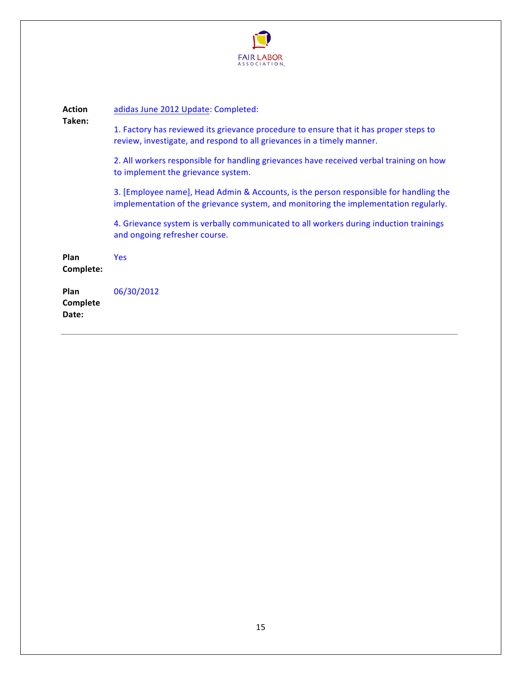

| <b>Action</b><br>Taken:          | adidas June 2012 Update: Completed:                                                                                                                                           |
|----------------------------------|-------------------------------------------------------------------------------------------------------------------------------------------------------------------------------|
|                                  | 1. Factory has reviewed its grievance procedure to ensure that it has proper steps to<br>review, investigate, and respond to all grievances in a timely manner.               |
|                                  | 2. All workers responsible for handling grievances have received verbal training on how<br>to implement the grievance system.                                                 |
|                                  | 3. [Employee name], Head Admin & Accounts, is the person responsible for handling the<br>implementation of the grievance system, and monitoring the implementation regularly. |
|                                  | 4. Grievance system is verbally communicated to all workers during induction trainings<br>and ongoing refresher course.                                                       |
| Plan<br>Complete:                | <b>Yes</b>                                                                                                                                                                    |
| <b>Plan</b><br>Complete<br>Date: | 06/30/2012                                                                                                                                                                    |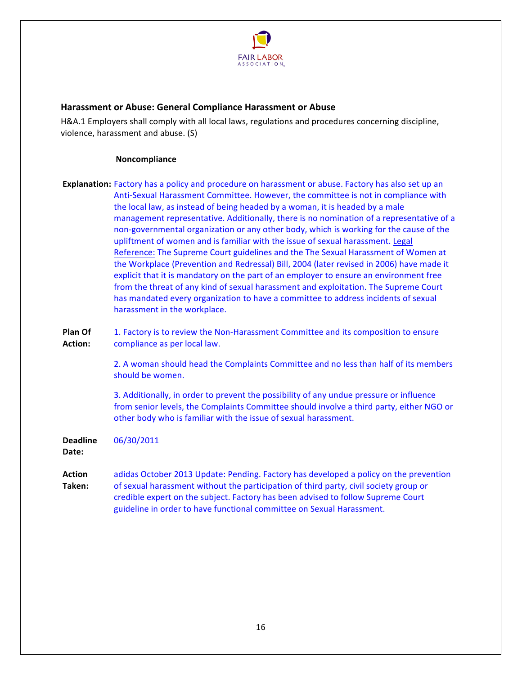

# <span id="page-15-0"></span>**Harassment or Abuse: General Compliance Harassment or Abuse**

H&A.1 Employers shall comply with all local laws, regulations and procedures concerning discipline, violence, harassment and abuse.  $(S)$ 

#### **Noncompliance**

**Explanation:** Factory has a policy and procedure on harassment or abuse. Factory has also set up an Anti-Sexual Harassment Committee. However, the committee is not in compliance with the local law, as instead of being headed by a woman, it is headed by a male management representative. Additionally, there is no nomination of a representative of a non-governmental organization or any other body, which is working for the cause of the upliftment of women and is familiar with the issue of sexual harassment. Legal Reference: The Supreme Court guidelines and the The Sexual Harassment of Women at the Workplace (Prevention and Redressal) Bill, 2004 (later revised in 2006) have made it explicit that it is mandatory on the part of an employer to ensure an environment free from the threat of any kind of sexual harassment and exploitation. The Supreme Court has mandated every organization to have a committee to address incidents of sexual harassment in the workplace.

**Plan!Of!** Action: 1. Factory is to review the Non-Harassment Committee and its composition to ensure compliance as per local law.

> 2. A woman should head the Complaints Committee and no less than half of its members should be women.

> 3. Additionally, in order to prevent the possibility of any undue pressure or influence from senior levels, the Complaints Committee should involve a third party, either NGO or other body who is familiar with the issue of sexual harassment.

**Deadline!** 06/30/2011

Date:

**Action! Taken:!** adidas October 2013 Update: Pending. Factory has developed a policy on the prevention of sexual harassment without the participation of third party, civil society group or credible expert on the subject. Factory has been advised to follow Supreme Court guideline in order to have functional committee on Sexual Harassment.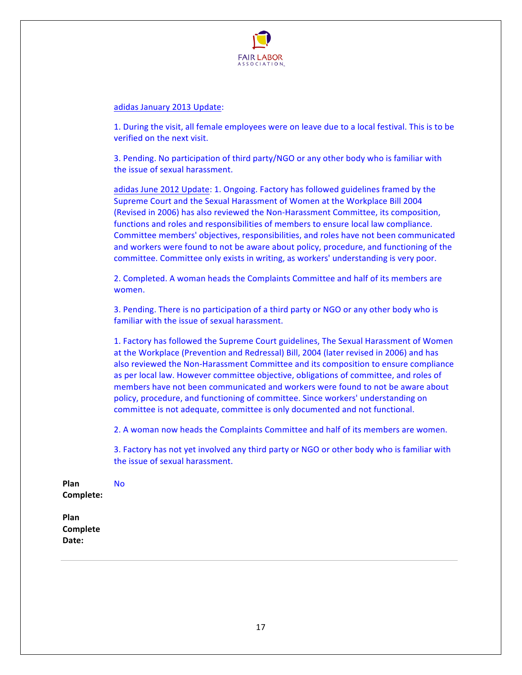

#### adidas January 2013 Update:

1. During the visit, all female employees were on leave due to a local festival. This is to be verified on the next visit.

3. Pending. No participation of third party/NGO or any other body who is familiar with the issue of sexual harassment.

adidas June 2012 Update: 1. Ongoing. Factory has followed guidelines framed by the Supreme Court and the Sexual Harassment of Women at the Workplace Bill 2004 (Revised in 2006) has also reviewed the Non-Harassment Committee, its composition, functions and roles and responsibilities of members to ensure local law compliance. Committee members' objectives, responsibilities, and roles have not been communicated and workers were found to not be aware about policy, procedure, and functioning of the committee. Committee only exists in writing, as workers' understanding is very poor.

2. Completed. A woman heads the Complaints Committee and half of its members are women.

3. Pending. There is no participation of a third party or NGO or any other body who is familiar with the issue of sexual harassment.

1. Factory has followed the Supreme Court guidelines, The Sexual Harassment of Women at the Workplace (Prevention and Redressal) Bill, 2004 (later revised in 2006) and has also reviewed the Non-Harassment Committee and its composition to ensure compliance as per local law. However committee objective, obligations of committee, and roles of members have not been communicated and workers were found to not be aware about policy, procedure, and functioning of committee. Since workers' understanding on committee is not adequate, committee is only documented and not functional.

2. A woman now heads the Complaints Committee and half of its members are women.

3. Factory has not yet involved any third party or NGO or other body who is familiar with the issue of sexual harassment.

**Plan! Complete:!** No

**Plan! Complete!** Date: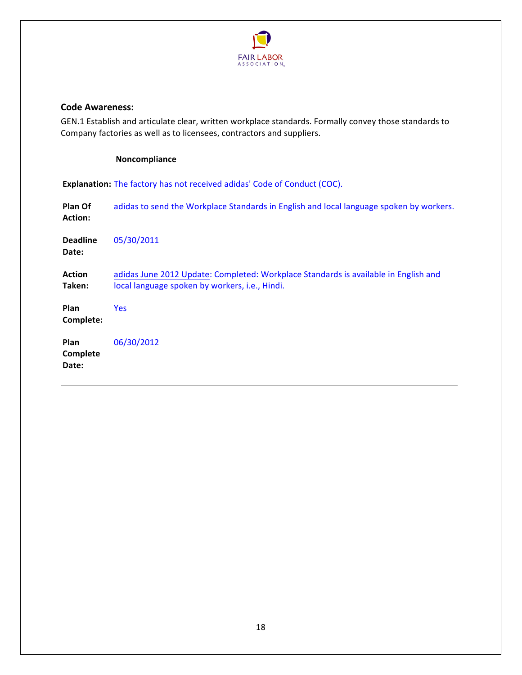

## <span id="page-17-0"></span>**Code Awareness:**

GEN.1 Establish and articulate clear, written workplace standards. Formally convey those standards to Company factories as well as to licensees, contractors and suppliers.

# **Noncompliance**

**Explanation:** The factory has not received adidas' Code of Conduct (COC).

| Plan Of<br><b>Action:</b> | adidas to send the Workplace Standards in English and local language spoken by workers.                                               |
|---------------------------|---------------------------------------------------------------------------------------------------------------------------------------|
| <b>Deadline</b><br>Date:  | 05/30/2011                                                                                                                            |
| <b>Action</b><br>Taken:   | adidas June 2012 Update: Completed: Workplace Standards is available in English and<br>local language spoken by workers, i.e., Hindi. |
| Plan<br>Complete:         | <b>Yes</b>                                                                                                                            |
| Plan<br>Complete<br>Date: | 06/30/2012                                                                                                                            |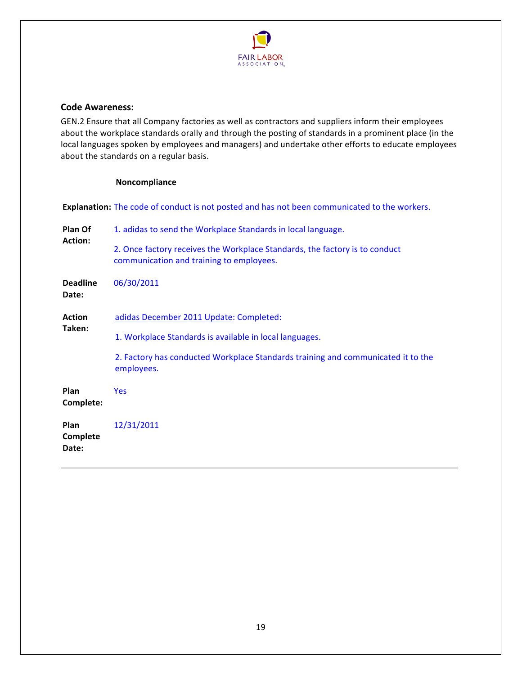

#### <span id="page-18-0"></span>**Code Awareness:**

GEN.2 Ensure that all Company factories as well as contractors and suppliers inform their employees about the workplace standards orally and through the posting of standards in a prominent place (in the local languages spoken by employees and managers) and undertake other efforts to educate employees about the standards on a regular basis.

#### **Noncompliance**

Explanation: The code of conduct is not posted and has not been communicated to the workers.

| Plan Of<br><b>Action:</b> | 1. adidas to send the Workplace Standards in local language.                                                            |
|---------------------------|-------------------------------------------------------------------------------------------------------------------------|
|                           | 2. Once factory receives the Workplace Standards, the factory is to conduct<br>communication and training to employees. |
| <b>Deadline</b><br>Date:  | 06/30/2011                                                                                                              |
| <b>Action</b>             | adidas December 2011 Update: Completed:                                                                                 |
| Taken:                    | 1. Workplace Standards is available in local languages.                                                                 |
|                           | 2. Factory has conducted Workplace Standards training and communicated it to the<br>employees.                          |
| Plan<br>Complete:         | <b>Yes</b>                                                                                                              |
| Plan<br>Complete<br>Date: | 12/31/2011                                                                                                              |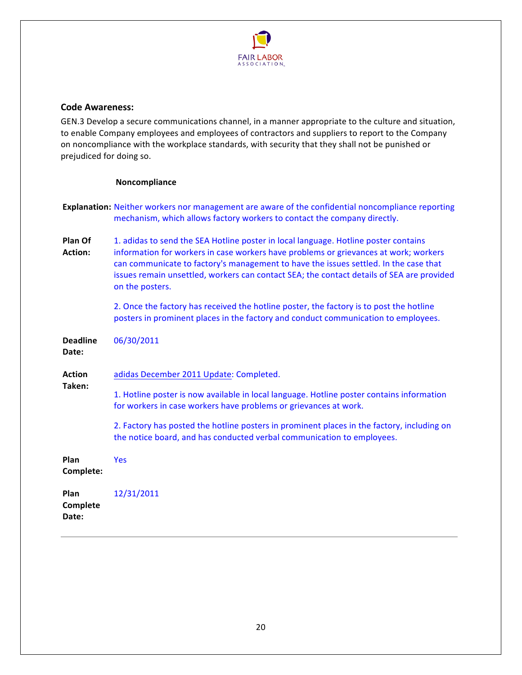

## <span id="page-19-0"></span>**Code Awareness:**

GEN.3 Develop a secure communications channel, in a manner appropriate to the culture and situation, to enable Company employees and employees of contractors and suppliers to report to the Company on noncompliance with the workplace standards, with security that they shall not be punished or prejudiced for doing so.

|                          | Explanation: Neither workers nor management are aware of the confidential noncompliance reporting<br>mechanism, which allows factory workers to contact the company directly.                                                                                                                                                                                                       |
|--------------------------|-------------------------------------------------------------------------------------------------------------------------------------------------------------------------------------------------------------------------------------------------------------------------------------------------------------------------------------------------------------------------------------|
| Plan Of<br>Action:       | 1. adidas to send the SEA Hotline poster in local language. Hotline poster contains<br>information for workers in case workers have problems or grievances at work; workers<br>can communicate to factory's management to have the issues settled. In the case that<br>issues remain unsettled, workers can contact SEA; the contact details of SEA are provided<br>on the posters. |
|                          | 2. Once the factory has received the hotline poster, the factory is to post the hotline<br>posters in prominent places in the factory and conduct communication to employees.                                                                                                                                                                                                       |
| <b>Deadline</b><br>Date: | 06/30/2011                                                                                                                                                                                                                                                                                                                                                                          |
| <b>Action</b>            | adidas December 2011 Update: Completed.                                                                                                                                                                                                                                                                                                                                             |
| Taken:                   | 1. Hotline poster is now available in local language. Hotline poster contains information<br>for workers in case workers have problems or grievances at work.                                                                                                                                                                                                                       |
|                          |                                                                                                                                                                                                                                                                                                                                                                                     |
|                          | 2. Factory has posted the hotline posters in prominent places in the factory, including on<br>the notice board, and has conducted verbal communication to employees.                                                                                                                                                                                                                |
| Plan<br>Complete:        | <b>Yes</b>                                                                                                                                                                                                                                                                                                                                                                          |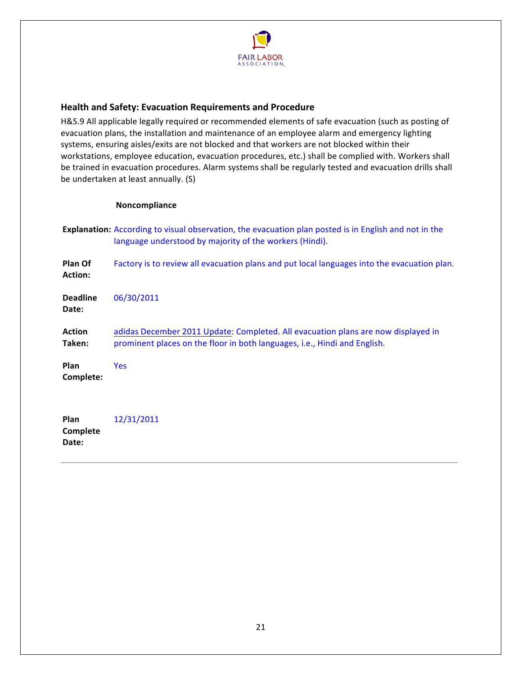

# <span id="page-20-0"></span>**Health!and!Safety: Evacuation!Requirements!and!Procedure**

H&S.9 All applicable legally required or recommended elements of safe evacuation (such as posting of evacuation plans, the installation and maintenance of an employee alarm and emergency lighting systems, ensuring aisles/exits are not blocked and that workers are not blocked within their workstations, employee education, evacuation procedures, etc.) shall be complied with. Workers shall be trained in evacuation procedures. Alarm systems shall be regularly tested and evacuation drills shall be undertaken at least annually. (S)

#### **Noncompliance**

- **Explanation:** According to visual observation, the evacuation plan posted is in English and not in the language understood by majority of the workers (Hindi).
- **Plan!Of!** Action: Factory is to review all evacuation plans and put local languages into the evacuation plan. **Deadline!** Date: 06/30/2011 **Action! Taken:!** adidas December 2011 Update: Completed. All evacuation plans are now displayed in prominent places on the floor in both languages, i.e., Hindi and English. **Plan! Complete:!** Yes **Plan! Complete!** 12/31/2011

21

Date: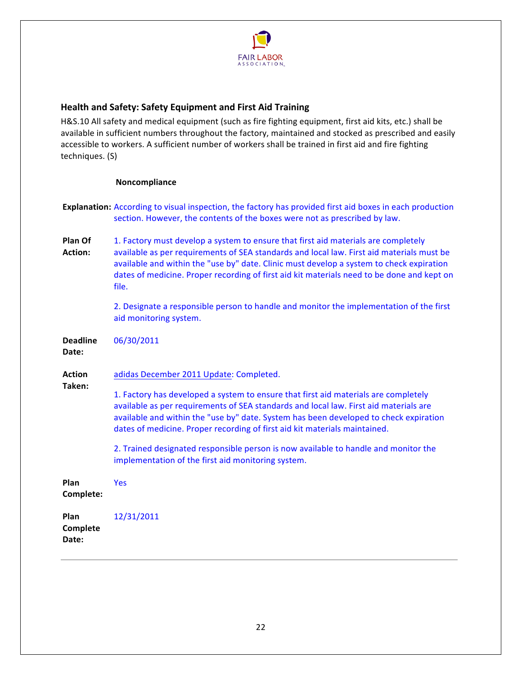

# <span id="page-21-0"></span>**Health!and!Safety: Safety!Equipment!and!First!Aid!Training**

H&S.10 All safety and medical equipment (such as fire fighting equipment, first aid kits, etc.) shall be available in sufficient numbers throughout the factory, maintained and stocked as prescribed and easily accessible to workers. A sufficient number of workers shall be trained in first aid and fire fighting techniques. (S)

|                           | Explanation: According to visual inspection, the factory has provided first aid boxes in each production<br>section. However, the contents of the boxes were not as prescribed by law.                                                                                                                                                                                             |
|---------------------------|------------------------------------------------------------------------------------------------------------------------------------------------------------------------------------------------------------------------------------------------------------------------------------------------------------------------------------------------------------------------------------|
| Plan Of<br><b>Action:</b> | 1. Factory must develop a system to ensure that first aid materials are completely<br>available as per requirements of SEA standards and local law. First aid materials must be<br>available and within the "use by" date. Clinic must develop a system to check expiration<br>dates of medicine. Proper recording of first aid kit materials need to be done and kept on<br>file. |
|                           | 2. Designate a responsible person to handle and monitor the implementation of the first<br>aid monitoring system.                                                                                                                                                                                                                                                                  |
| <b>Deadline</b><br>Date:  | 06/30/2011                                                                                                                                                                                                                                                                                                                                                                         |
| <b>Action</b><br>Taken:   | adidas December 2011 Update: Completed.                                                                                                                                                                                                                                                                                                                                            |
|                           | 1. Factory has developed a system to ensure that first aid materials are completely<br>available as per requirements of SEA standards and local law. First aid materials are<br>available and within the "use by" date. System has been developed to check expiration<br>dates of medicine. Proper recording of first aid kit materials maintained.                                |
|                           | 2. Trained designated responsible person is now available to handle and monitor the<br>implementation of the first aid monitoring system.                                                                                                                                                                                                                                          |
| Plan<br>Complete:         | <b>Yes</b>                                                                                                                                                                                                                                                                                                                                                                         |
| Plan<br>Complete<br>Date: | 12/31/2011                                                                                                                                                                                                                                                                                                                                                                         |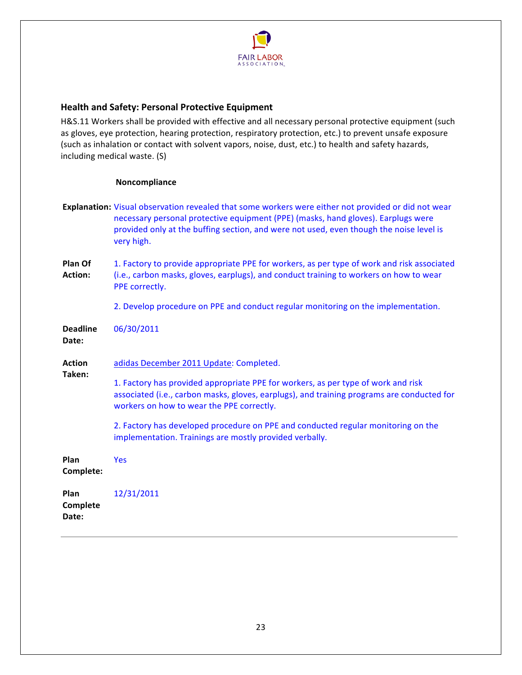

# <span id="page-22-0"></span>**Health and Safety: Personal Protective Equipment**

H&S.11 Workers shall be provided with effective and all necessary personal protective equipment (such as gloves, eye protection, hearing protection, respiratory protection, etc.) to prevent unsafe exposure (such as inhalation or contact with solvent vapors, noise, dust, etc.) to health and safety hazards, including medical waste. (S)

|                           | Explanation: Visual observation revealed that some workers were either not provided or did not wear<br>necessary personal protective equipment (PPE) (masks, hand gloves). Earplugs were<br>provided only at the buffing section, and were not used, even though the noise level is<br>very high. |
|---------------------------|---------------------------------------------------------------------------------------------------------------------------------------------------------------------------------------------------------------------------------------------------------------------------------------------------|
| Plan Of<br><b>Action:</b> | 1. Factory to provide appropriate PPE for workers, as per type of work and risk associated<br>(i.e., carbon masks, gloves, earplugs), and conduct training to workers on how to wear<br>PPE correctly.                                                                                            |
|                           | 2. Develop procedure on PPE and conduct regular monitoring on the implementation.                                                                                                                                                                                                                 |
| <b>Deadline</b><br>Date:  | 06/30/2011                                                                                                                                                                                                                                                                                        |
| <b>Action</b>             | adidas December 2011 Update: Completed.                                                                                                                                                                                                                                                           |
| Taken:                    | 1. Factory has provided appropriate PPE for workers, as per type of work and risk<br>associated (i.e., carbon masks, gloves, earplugs), and training programs are conducted for<br>workers on how to wear the PPE correctly.                                                                      |
|                           | 2. Factory has developed procedure on PPE and conducted regular monitoring on the<br>implementation. Trainings are mostly provided verbally.                                                                                                                                                      |
| Plan<br>Complete:         | Yes                                                                                                                                                                                                                                                                                               |
| Plan<br>Complete<br>Date: | 12/31/2011                                                                                                                                                                                                                                                                                        |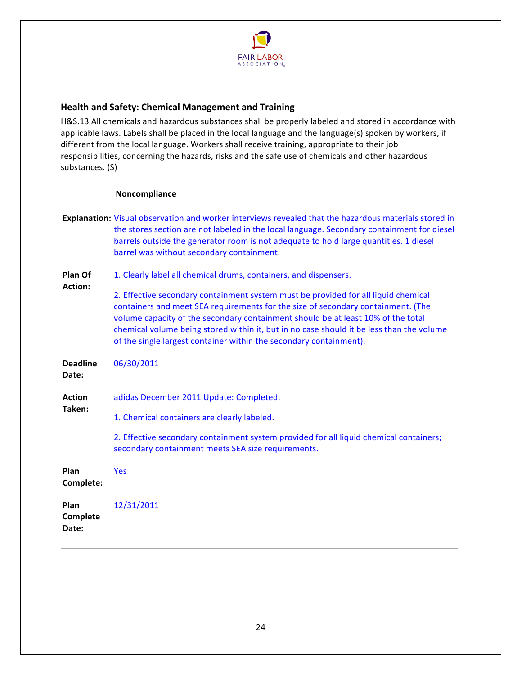

# <span id="page-23-0"></span>**Health!and!Safety: Chemical!Management!and!Training**

H&S.13 All chemicals and hazardous substances shall be properly labeled and stored in accordance with applicable laws. Labels shall be placed in the local language and the language(s) spoken by workers, if different from the local language. Workers shall receive training, appropriate to their job responsibilities, concerning the hazards, risks and the safe use of chemicals and other hazardous substances. (S)

|                          | Explanation: Visual observation and worker interviews revealed that the hazardous materials stored in<br>the stores section are not labeled in the local language. Secondary containment for diesel<br>barrels outside the generator room is not adequate to hold large quantities. 1 diesel<br>barrel was without secondary containment.                                                                                    |
|--------------------------|------------------------------------------------------------------------------------------------------------------------------------------------------------------------------------------------------------------------------------------------------------------------------------------------------------------------------------------------------------------------------------------------------------------------------|
| Plan Of                  | 1. Clearly label all chemical drums, containers, and dispensers.                                                                                                                                                                                                                                                                                                                                                             |
| Action:                  | 2. Effective secondary containment system must be provided for all liquid chemical<br>containers and meet SEA requirements for the size of secondary containment. (The<br>volume capacity of the secondary containment should be at least 10% of the total<br>chemical volume being stored within it, but in no case should it be less than the volume<br>of the single largest container within the secondary containment). |
| <b>Deadline</b><br>Date: | 06/30/2011                                                                                                                                                                                                                                                                                                                                                                                                                   |
| <b>Action</b>            | adidas December 2011 Update: Completed.                                                                                                                                                                                                                                                                                                                                                                                      |
| Taken:                   | 1. Chemical containers are clearly labeled.                                                                                                                                                                                                                                                                                                                                                                                  |
|                          | 2. Effective secondary containment system provided for all liquid chemical containers;<br>secondary containment meets SEA size requirements.                                                                                                                                                                                                                                                                                 |
| Plan<br>Complete:        | Yes                                                                                                                                                                                                                                                                                                                                                                                                                          |
| Plan<br>Complete         | 12/31/2011                                                                                                                                                                                                                                                                                                                                                                                                                   |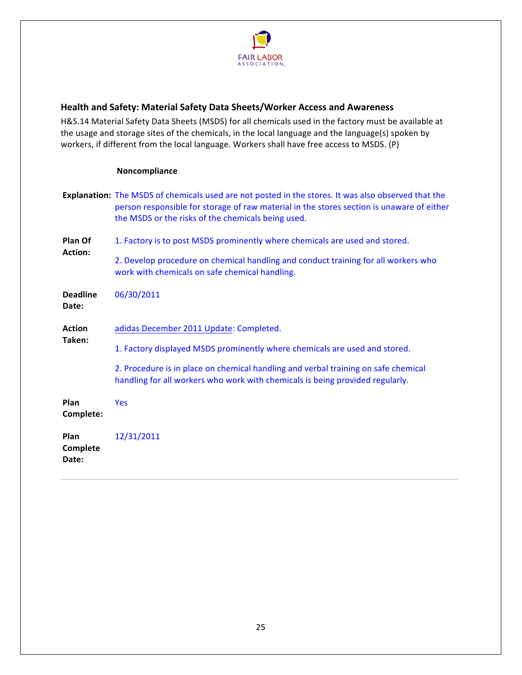

# <span id="page-24-0"></span>**Health and Safety: Material Safety Data Sheets/Worker Access and Awareness**

H&S.14 Material Safety Data Sheets (MSDS) for all chemicals used in the factory must be available at the usage and storage sites of the chemicals, in the local language and the language(s) spoken by workers, if different from the local language. Workers shall have free access to MSDS. (P)

|                           | Explanation: The MSDS of chemicals used are not posted in the stores. It was also observed that the<br>person responsible for storage of raw material in the stores section is unaware of either<br>the MSDS or the risks of the chemicals being used. |
|---------------------------|--------------------------------------------------------------------------------------------------------------------------------------------------------------------------------------------------------------------------------------------------------|
| Plan Of<br><b>Action:</b> | 1. Factory is to post MSDS prominently where chemicals are used and stored.                                                                                                                                                                            |
|                           | 2. Develop procedure on chemical handling and conduct training for all workers who<br>work with chemicals on safe chemical handling.                                                                                                                   |
| <b>Deadline</b><br>Date:  | 06/30/2011                                                                                                                                                                                                                                             |
| <b>Action</b>             | adidas December 2011 Update: Completed.                                                                                                                                                                                                                |
| Taken:                    | 1. Factory displayed MSDS prominently where chemicals are used and stored.                                                                                                                                                                             |
|                           | 2. Procedure is in place on chemical handling and verbal training on safe chemical<br>handling for all workers who work with chemicals is being provided regularly.                                                                                    |
| Plan<br>Complete:         | <b>Yes</b>                                                                                                                                                                                                                                             |
| Plan<br>Complete<br>Date: | 12/31/2011                                                                                                                                                                                                                                             |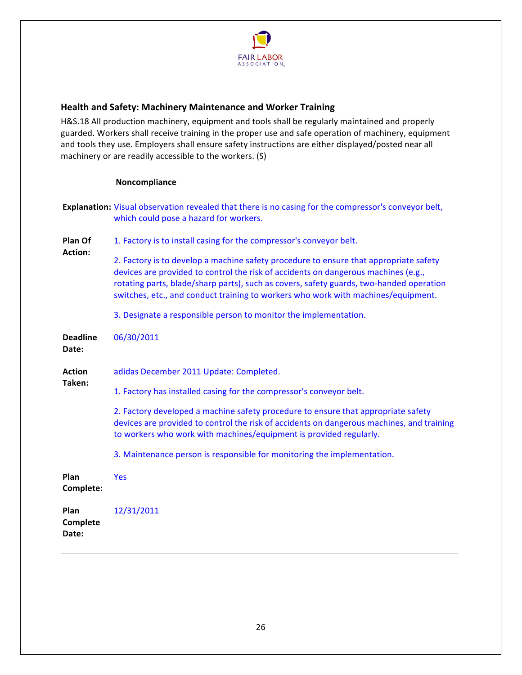

# <span id="page-25-0"></span>**Health and Safety: Machinery Maintenance and Worker Training**

H&S.18 All production machinery, equipment and tools shall be regularly maintained and properly guarded. Workers shall receive training in the proper use and safe operation of machinery, equipment and tools they use. Employers shall ensure safety instructions are either displayed/posted near all machinery or are readily accessible to the workers. (S)

|                           | Explanation: Visual observation revealed that there is no casing for the compressor's conveyor belt,<br>which could pose a hazard for workers.                                                                                                                                                                                                              |
|---------------------------|-------------------------------------------------------------------------------------------------------------------------------------------------------------------------------------------------------------------------------------------------------------------------------------------------------------------------------------------------------------|
| Plan Of                   | 1. Factory is to install casing for the compressor's conveyor belt.                                                                                                                                                                                                                                                                                         |
| <b>Action:</b>            | 2. Factory is to develop a machine safety procedure to ensure that appropriate safety<br>devices are provided to control the risk of accidents on dangerous machines (e.g.,<br>rotating parts, blade/sharp parts), such as covers, safety guards, two-handed operation<br>switches, etc., and conduct training to workers who work with machines/equipment. |
|                           | 3. Designate a responsible person to monitor the implementation.                                                                                                                                                                                                                                                                                            |
| <b>Deadline</b><br>Date:  | 06/30/2011                                                                                                                                                                                                                                                                                                                                                  |
| <b>Action</b>             | adidas December 2011 Update: Completed.                                                                                                                                                                                                                                                                                                                     |
| Taken:                    | 1. Factory has installed casing for the compressor's conveyor belt.                                                                                                                                                                                                                                                                                         |
|                           | 2. Factory developed a machine safety procedure to ensure that appropriate safety<br>devices are provided to control the risk of accidents on dangerous machines, and training<br>to workers who work with machines/equipment is provided regularly.                                                                                                        |
|                           | 3. Maintenance person is responsible for monitoring the implementation.                                                                                                                                                                                                                                                                                     |
| Plan<br>Complete:         | <b>Yes</b>                                                                                                                                                                                                                                                                                                                                                  |
| Plan<br>Complete<br>Date: | 12/31/2011                                                                                                                                                                                                                                                                                                                                                  |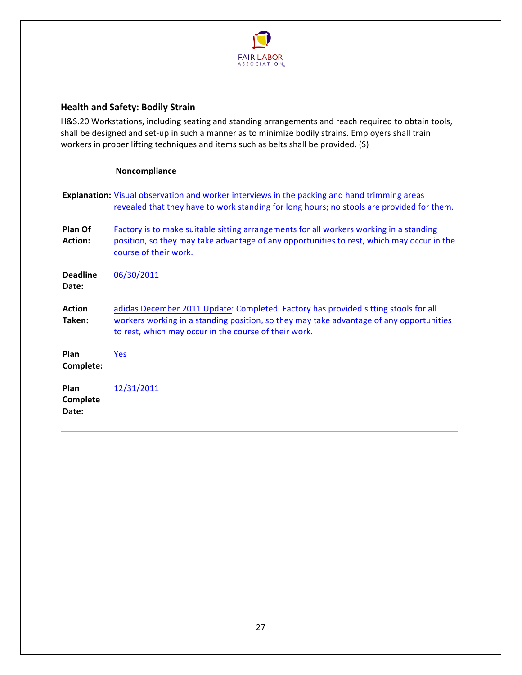

# <span id="page-26-0"></span>**Health and Safety: Bodily Strain**

H&S.20 Workstations, including seating and standing arrangements and reach required to obtain tools, shall be designed and set-up in such a manner as to minimize bodily strains. Employers shall train workers in proper lifting techniques and items such as belts shall be provided. (S)

|                                  | <b>Explanation:</b> Visual observation and worker interviews in the packing and hand trimming areas<br>revealed that they have to work standing for long hours; no stools are provided for them.                                        |
|----------------------------------|-----------------------------------------------------------------------------------------------------------------------------------------------------------------------------------------------------------------------------------------|
| Plan Of<br><b>Action:</b>        | Factory is to make suitable sitting arrangements for all workers working in a standing<br>position, so they may take advantage of any opportunities to rest, which may occur in the<br>course of their work.                            |
| <b>Deadline</b><br>Date:         | 06/30/2011                                                                                                                                                                                                                              |
| <b>Action</b><br>Taken:          | adidas December 2011 Update: Completed. Factory has provided sitting stools for all<br>workers working in a standing position, so they may take advantage of any opportunities<br>to rest, which may occur in the course of their work. |
| Plan<br>Complete:                | <b>Yes</b>                                                                                                                                                                                                                              |
| <b>Plan</b><br>Complete<br>Date: | 12/31/2011                                                                                                                                                                                                                              |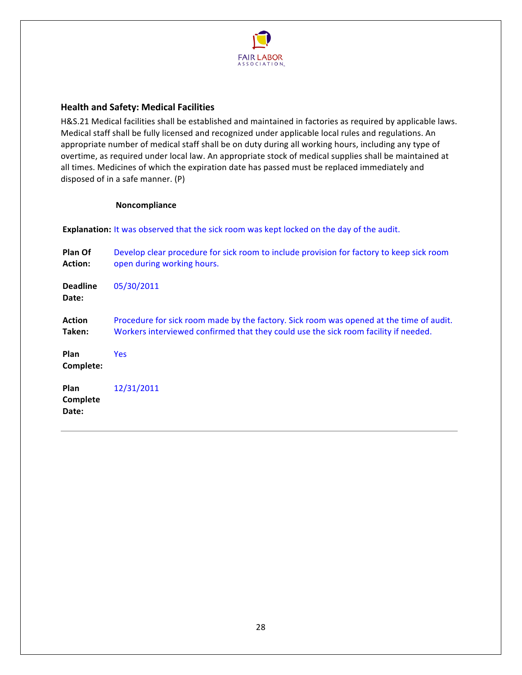

# <span id="page-27-0"></span>**Health and Safety: Medical Facilities**

H&S.21 Medical facilities shall be established and maintained in factories as required by applicable laws. Medical staff shall be fully licensed and recognized under applicable local rules and regulations. An appropriate number of medical staff shall be on duty during all working hours, including any type of overtime, as required under local law. An appropriate stock of medical supplies shall be maintained at all times. Medicines of which the expiration date has passed must be replaced immediately and disposed of in a safe manner.  $(P)$ 

#### **Noncompliance**

Explanation: It was observed that the sick room was kept locked on the day of the audit.

| Plan Of<br><b>Action:</b>        | Develop clear procedure for sick room to include provision for factory to keep sick room<br>open during working hours.                                                         |
|----------------------------------|--------------------------------------------------------------------------------------------------------------------------------------------------------------------------------|
| <b>Deadline</b><br>Date:         | 05/30/2011                                                                                                                                                                     |
| <b>Action</b><br>Taken:          | Procedure for sick room made by the factory. Sick room was opened at the time of audit.<br>Workers interviewed confirmed that they could use the sick room facility if needed. |
| Plan<br>Complete:                | <b>Yes</b>                                                                                                                                                                     |
| <b>Plan</b><br>Complete<br>Date: | 12/31/2011                                                                                                                                                                     |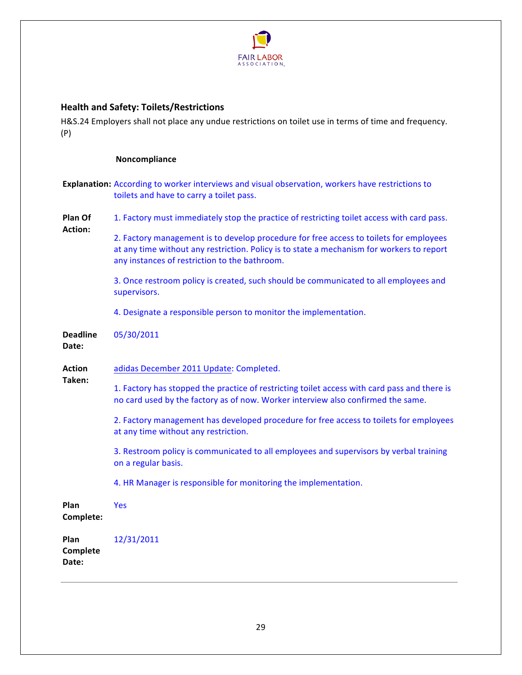

# <span id="page-28-0"></span>**Health!and!Safety: Toilets/Restrictions**

H&S.24 Employers shall not place any undue restrictions on toilet use in terms of time and frequency. (P)

|                           | <b>Explanation:</b> According to worker interviews and visual observation, workers have restrictions to<br>toilets and have to carry a toilet pass.                                                                                  |
|---------------------------|--------------------------------------------------------------------------------------------------------------------------------------------------------------------------------------------------------------------------------------|
| Plan Of                   | 1. Factory must immediately stop the practice of restricting toilet access with card pass.                                                                                                                                           |
| <b>Action:</b>            | 2. Factory management is to develop procedure for free access to toilets for employees<br>at any time without any restriction. Policy is to state a mechanism for workers to report<br>any instances of restriction to the bathroom. |
|                           | 3. Once restroom policy is created, such should be communicated to all employees and<br>supervisors.                                                                                                                                 |
|                           | 4. Designate a responsible person to monitor the implementation.                                                                                                                                                                     |
| <b>Deadline</b><br>Date:  | 05/30/2011                                                                                                                                                                                                                           |
| <b>Action</b>             | adidas December 2011 Update: Completed.                                                                                                                                                                                              |
| Taken:                    | 1. Factory has stopped the practice of restricting toilet access with card pass and there is<br>no card used by the factory as of now. Worker interview also confirmed the same.                                                     |
|                           | 2. Factory management has developed procedure for free access to toilets for employees<br>at any time without any restriction.                                                                                                       |
|                           | 3. Restroom policy is communicated to all employees and supervisors by verbal training<br>on a regular basis.                                                                                                                        |
|                           | 4. HR Manager is responsible for monitoring the implementation.                                                                                                                                                                      |
| Plan<br>Complete:         | <b>Yes</b>                                                                                                                                                                                                                           |
| Plan<br>Complete<br>Date: | 12/31/2011                                                                                                                                                                                                                           |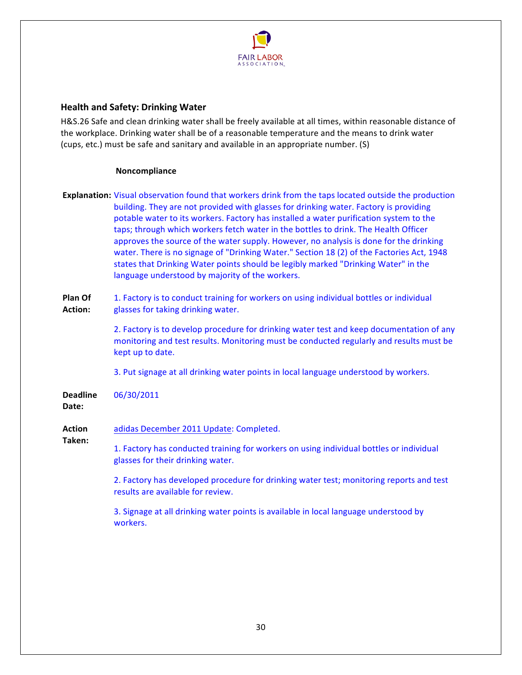

# <span id="page-29-0"></span>**Health!and!Safety: Drinking!Water**

H&S.26 Safe and clean drinking water shall be freely available at all times, within reasonable distance of the workplace. Drinking water shall be of a reasonable temperature and the means to drink water (cups, etc.) must be safe and sanitary and available in an appropriate number. (S)

#### **Noncompliance**

**Explanation:** Visual observation found that workers drink from the taps located outside the production building. They are not provided with glasses for drinking water. Factory is providing potable water to its workers. Factory has installed a water purification system to the taps; through which workers fetch water in the bottles to drink. The Health Officer approves the source of the water supply. However, no analysis is done for the drinking water. There is no signage of "Drinking Water." Section 18 (2) of the Factories Act, 1948 states that Drinking Water points should be legibly marked "Drinking Water" in the language understood by majority of the workers.

**Plan!Of!** Action: 1. Factory is to conduct training for workers on using individual bottles or individual glasses for taking drinking water.

> 2. Factory is to develop procedure for drinking water test and keep documentation of any monitoring and test results. Monitoring must be conducted regularly and results must be kept up to date.

3. Put signage at all drinking water points in local language understood by workers.

**Deadline!** 06/30/2011

#### Date:

**Action!** adidas December 2011 Update: Completed.

**Taken:!**

1. Factory has conducted training for workers on using individual bottles or individual glasses for their drinking water.

2. Factory has developed procedure for drinking water test; monitoring reports and test results are available for review.

3. Signage at all drinking water points is available in local language understood by workers.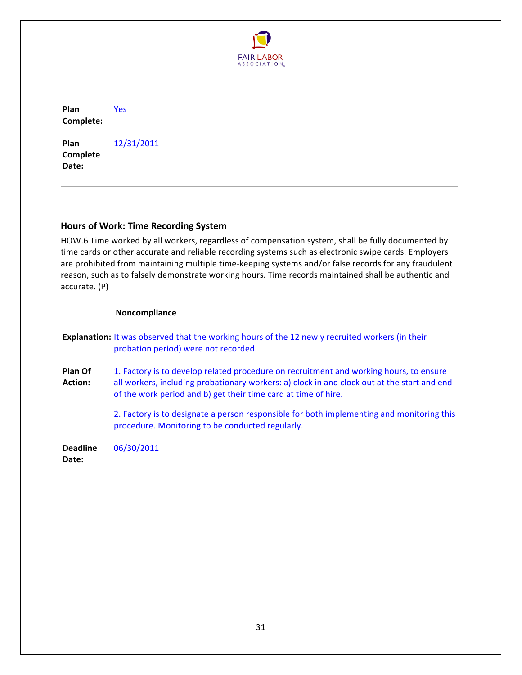

<span id="page-30-0"></span>**Plan!** Complete: Yes

**Plan! Complete!** Date: 12/31/2011

# **Hours of Work: Time Recording System**

HOW.6 Time worked by all workers, regardless of compensation system, shall be fully documented by time cards or other accurate and reliable recording systems such as electronic swipe cards. Employers are prohibited from maintaining multiple time-keeping systems and/or false records for any fraudulent reason, such as to falsely demonstrate working hours. Time records maintained shall be authentic and  $accurate. (P)$ 

|                          | <b>Explanation:</b> It was observed that the working hours of the 12 newly recruited workers (in their<br>probation period) were not recorded.                                                                                                          |
|--------------------------|---------------------------------------------------------------------------------------------------------------------------------------------------------------------------------------------------------------------------------------------------------|
| Plan Of<br>Action:       | 1. Factory is to develop related procedure on recruitment and working hours, to ensure<br>all workers, including probationary workers: a) clock in and clock out at the start and end<br>of the work period and b) get their time card at time of hire. |
|                          | 2. Factory is to designate a person responsible for both implementing and monitoring this<br>procedure. Monitoring to be conducted regularly.                                                                                                           |
| <b>Deadline</b><br>Date: | 06/30/2011                                                                                                                                                                                                                                              |